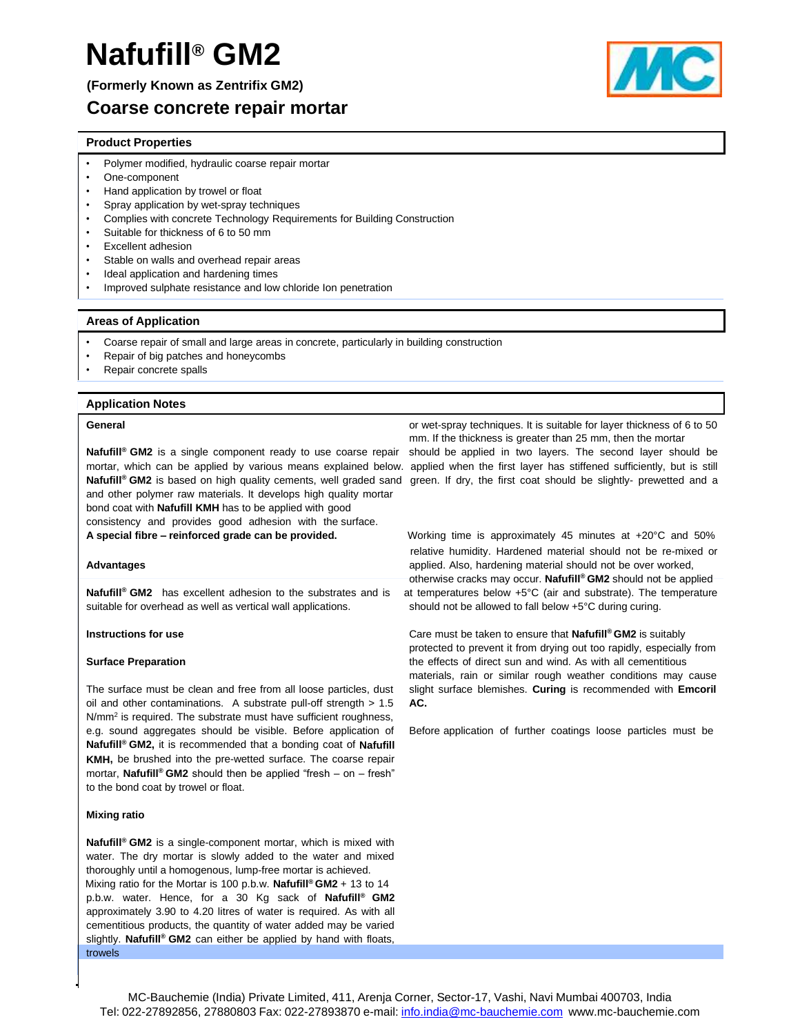# **Nafufill® GM2**

**(Formerly Known as Zentrifix GM2)**

# **Coarse concrete repair mortar**



# **Product Properties**

- Polymer modified, hydraulic coarse repair mortar
- One-component
- Hand application by trowel or float
- Spray application by wet-spray techniques
- Complies with concrete Technology Requirements for Building Construction
- Suitable for thickness of 6 to 50 mm
- Excellent adhesion
- Stable on walls and overhead repair areas
- Ideal application and hardening times
- Improved sulphate resistance and low chloride Ion penetration

# **Areas of Application**

- Coarse repair of small and large areas in concrete, particularly in building construction
- Repair of big patches and honeycombs
- Repair concrete spalls

# **Application Notes**

**Nafufill® GM2** is a single component ready to use coarse repair should be applied in two layers. The second layer should be mortar, which can be applied by various means explained below. applied when the first layer has stiffened sufficiently, but is still **Nafufill® GM2** is based on high quality cements, well graded sand green. If dry, the first coat should be slightly- prewetted and a and other polymer raw materials. It develops high quality mortar bond coat with **Nafufill KMH** has to be applied with good consistency and provides good adhesion with the surface.

suitable for overhead as well as vertical wall applications. should not be allowed to fall below +5°C during curing.

The surface must be clean and free from all loose particles, dust slight surface blemishes. **Curing** is recommended with **Emcoril** oil and other contaminations. A substrate pull-off strength > 1.5 **AC.** N/mm<sup>2</sup> is required. The substrate must have sufficient roughness, e.g. sound aggregates should be visible. Before application of Before application of further coatings loose particles must be **Nafufill® GM2,** it is recommended that a bonding coat of **Nafufill KMH,** be brushed into the pre-wetted surface. The coarse repair mortar, **Nafufill® GM2** should then be applied "fresh – on – fresh" to the bond coat by trowel or float.

# **Mixing ratio**

**Nafufill® GM2** is a single-component mortar, which is mixed with water. The dry mortar is slowly added to the water and mixed thoroughly until a homogenous, lump-free mortar is achieved. Mixing ratio for the Mortar is 100 p.b.w. **Nafufill® GM2** + 13 to 14 p.b.w. water. Hence, for a 30 Kg sack of **Nafufill® GM2** approximately 3.90 to 4.20 litres of water is required. As with all cementitious products, the quantity of water added may be varied slightly. **Nafufill® GM2** can either be applied by hand with floats, trowels

General **General General Serveral** or wet-spray techniques. It is suitable for layer thickness of 6 to 50 mm. If the thickness is greater than 25 mm, then the mortar

**A special fibre – reinforced grade can be provided.** Working time is approximately 45 minutes at +20°C and 50% relative humidity. Hardened material should not be re-mixed or **Advantages** applied. Also, hardening material should not be over worked, otherwise cracks may occur. **Nafufill® GM2** should not be applied **Nafufill® GM2** has excellent adhesion to the substrates and is at temperatures below +5°C (air and substrate). The temperature

**Instructions for use** Care must be taken to ensure that **Nafufill**<sup>®</sup> **GM2** is suitably protected to prevent it from drying out too rapidly, especially from **Surface Preparation Surface Preparation 1996 CONS EXECUTE:** the effects of direct sun and wind. As with all cementitious materials, rain or similar rough weather conditions may cause